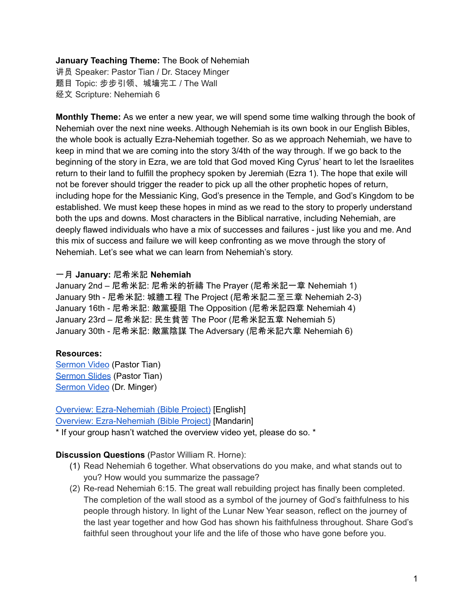### **January Teaching Theme:** The Book of Nehemiah

讲员 Speaker: Pastor Tian / Dr. Stacey Minger 题目 Topic: 步步引领、城墙完工 / The Wall 经文 Scripture: Nehemiah 6

**Monthly Theme:** As we enter a new year, we will spend some time walking through the book of Nehemiah over the next nine weeks. Although Nehemiah is its own book in our English Bibles, the whole book is actually Ezra-Nehemiah together. So as we approach Nehemiah, we have to keep in mind that we are coming into the story 3/4th of the way through. If we go back to the beginning of the story in Ezra, we are told that God moved King Cyrus' heart to let the Israelites return to their land to fulfill the prophecy spoken by Jeremiah (Ezra 1). The hope that exile will not be forever should trigger the reader to pick up all the other prophetic hopes of return, including hope for the Messianic King, God's presence in the Temple, and God's Kingdom to be established. We must keep these hopes in mind as we read to the story to properly understand both the ups and downs. Most characters in the Biblical narrative, including Nehemiah, are deeply flawed individuals who have a mix of successes and failures - just like you and me. And this mix of success and failure we will keep confronting as we move through the story of Nehemiah. Let's see what we can learn from Nehemiah's story.

## 一月 **January:** 尼希米記 **Nehemiah**

January 2nd – 尼希米記: 尼希米的祈禱 The Prayer (尼希米記一章 Nehemiah 1) January 9th - 尼希米記: 城牆工程 The Project (尼希米記二至三章 Nehemiah 2-3) January 16th - 尼希米記: 敵黨擾阻 The Opposition (尼希米記四章 Nehemiah 4) January 23rd – 尼希米記: 民生貧苦 The Poor (尼希米記五章 Nehemiah 5) January 30th - 尼希米記: 敵黨陰謀 The Adversary (尼希米記六章 Nehemiah 6)

### **Resources:**

[Sermon](https://www.youtube.com/watch?v=qpdsoWGvS0o) Video (Pastor Tian) [Sermon](https://docs.google.com/presentation/d/1c1sBGVLjPIM7ERgDvn1hxxmIkwsAEXRX/edit?usp=sharing&ouid=111022305003760555164&rtpof=true&sd=true) Slides (Pastor Tian) [Sermon](https://www.youtube.com/watch?v=MCBQAuQ17uY) Video (Dr. Minger)

Overview: [Ezra-Nehemiah](https://bibleproject.com/explore/video/ezra-nehemiah/) (Bible Project) [English] Overview: [Ezra-Nehemiah](https://www.youtube.com/watch?v=S4pg2h8DOM4&list=PLE-R0uydm0uN0xKD3tw0aheiQojlf1JB1&index=37) (Bible Project) [Mandarin] \* If your group hasn't watched the overview video yet, please do so. \*

- **Discussion Questions** (Pastor William R. Horne): (1) Read Nehemiah 6 together. What observations do you make, and what stands out to
	- you? How would you summarize the passage? (2) Re-read Nehemiah 6:15. The great wall rebuilding project has finally been completed.
	- The completion of the wall stood as a symbol of the journey of God's faithfulness to his people through history. In light of the Lunar New Year season, reflect on the journey of the last year together and how God has shown his faithfulness throughout. Share God's faithful seen throughout your life and the life of those who have gone before you.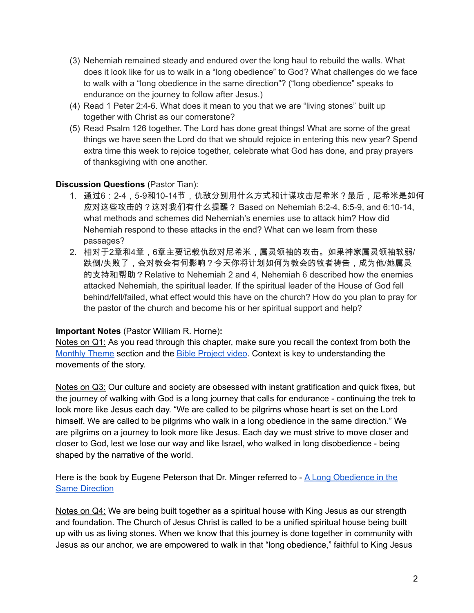- (3) Nehemiah remained steady and endured over the long haul to rebuild the walls. What does it look like for us to walk in a "long obedience" to God? What challenges do we face to walk with a "long obedience in the same direction"? ("long obedience" speaks to endurance on the journey to follow after Jesus.)
- (4) Read 1 Peter 2:4-6. What does it mean to you that we are "living stones" built up together with Christ as our cornerstone?
- (5) Read Psalm 126 together. The Lord has done great things! What are some of the great things we have seen the Lord do that we should rejoice in entering this new year? Spend extra time this week to rejoice together, celebrate what God has done, and pray prayers of thanksgiving with one another.

# **Discussion Questions** (Pastor Tian):

- 1. 通过6:2-4,5-9和10-14节,仇敌分别用什么方式和计谋攻击尼希米?最后,尼希米是如何 应对这些攻击的?这对我们有什么提醒? Based on Nehemiah 6:2-4, 6:5-9, and 6:10-14, what methods and schemes did Nehemiah's enemies use to attack him? How did Nehemiah respond to these attacks in the end? What can we learn from these passages?
- 2. 相对于2章和4章,6章主要记载仇敌对尼希米,属灵领袖的攻击。如果神家属灵领袖软弱/ 跌倒/失败了,会对教会有何影响?今天你将计划如何为教会的牧者祷告,成为他/她属灵 的支持和帮助?Relative to Nehemiah 2 and 4, Nehemiah 6 described how the enemies attacked Nehemiah, the spiritual leader. If the spiritual leader of the House of God fell behind/fell/failed, what effect would this have on the church? How do you plan to pray for the pastor of the church and become his or her spiritual support and help?

# **Important Notes** (Pastor William R. Horne)**:**

Notes on Q1: As you read through this chapter, make sure you recall the context from both the [Monthly](https://docs.google.com/document/d/1kdIsb1XcIs7gpJh6mmgzNf6Jnqwm4iO9jFQe6U3OtNY/edit#bookmark=id.ldbe2mqdl12r) Theme section and the **Bible [Project](https://docs.google.com/document/d/1kdIsb1XcIs7gpJh6mmgzNf6Jnqwm4iO9jFQe6U3OtNY/edit#bookmark=id.d2puhpmovfox) video**. Context is key to understanding the movements of the story.

Notes on Q3: Our culture and society are obsessed with instant gratification and quick fixes, but the journey of walking with God is a long journey that calls for endurance - continuing the trek to look more like Jesus each day. "We are called to be pilgrims whose heart is set on the Lord himself. We are called to be pilgrims who walk in a long obedience in the same direction." We are pilgrims on a journey to look more like Jesus. Each day we must strive to move closer and closer to God, lest we lose our way and like Israel, who walked in long disobedience - being shaped by the narrative of the world.

Here is the book by Eugene Peterson that Dr. Minger referred to - A Long [Obedience](https://www.ivpress.com/a-long-obedience-in-the-same-direction) in the Same [Direction](https://www.ivpress.com/a-long-obedience-in-the-same-direction)

Notes on Q4: We are being built together as a spiritual house with King Jesus as our strength and foundation. The Church of Jesus Christ is called to be a unified spiritual house being built up with us as living stones. When we know that this journey is done together in community with Jesus as our anchor, we are empowered to walk in that "long obedience," faithful to King Jesus